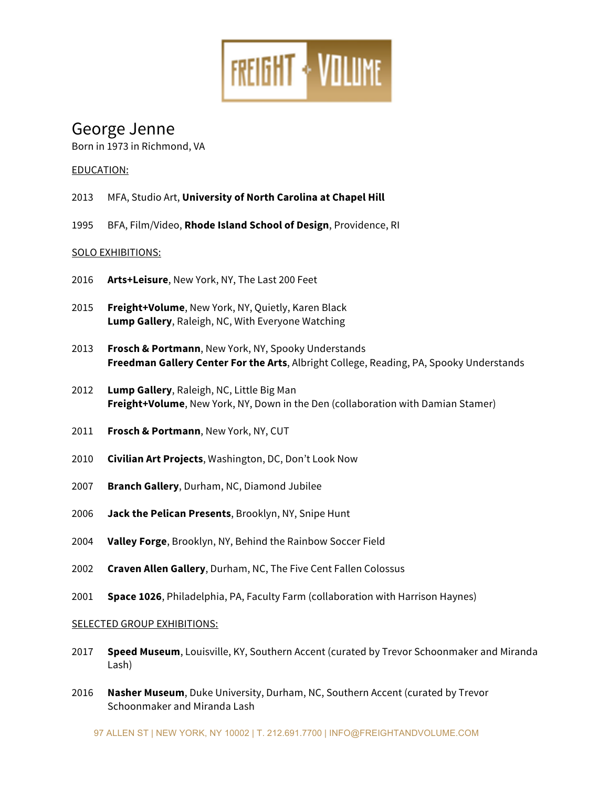

# George Jenne

Born in 1973 in Richmond, VA

## EDUCATION:

- 2013 MFA, Studio Art, **University of North Carolina at Chapel Hill**
- 1995 BFA, Film/Video, **Rhode Island School of Design**, Providence, RI

## SOLO EXHIBITIONS:

- 2016 **Arts+Leisure**, New York, NY, The Last 200 Feet
- 2015 **Freight+Volume**, New York, NY, Quietly, Karen Black **Lump Gallery**, Raleigh, NC, With Everyone Watching
- 2013 **Frosch & Portmann**, New York, NY, Spooky Understands **Freedman Gallery Center For the Arts**, Albright College, Reading, PA, Spooky Understands
- 2012 **Lump Gallery**, Raleigh, NC, Little Big Man **Freight+Volume**, New York, NY, Down in the Den (collaboration with Damian Stamer)
- 2011 **Frosch & Portmann**, New York, NY, CUT
- 2010 **Civilian Art Projects**, Washington, DC, Don't Look Now
- 2007 **Branch Gallery**, Durham, NC, Diamond Jubilee
- 2006 **Jack the Pelican Presents**, Brooklyn, NY, Snipe Hunt
- 2004 **Valley Forge**, Brooklyn, NY, Behind the Rainbow Soccer Field
- 2002 **Craven Allen Gallery**, Durham, NC, The Five Cent Fallen Colossus
- 2001 **Space 1026**, Philadelphia, PA, Faculty Farm (collaboration with Harrison Haynes)

### SELECTED GROUP EXHIBITIONS:

- 2017 **Speed Museum**, Louisville, KY, Southern Accent (curated by Trevor Schoonmaker and Miranda Lash)
- 2016 **Nasher Museum**, Duke University, Durham, NC, Southern Accent (curated by Trevor Schoonmaker and Miranda Lash

97 ALLEN ST | NEW YORK, NY 10002 | T. 212.691.7700 | INFO@FREIGHTANDVOLUME.COM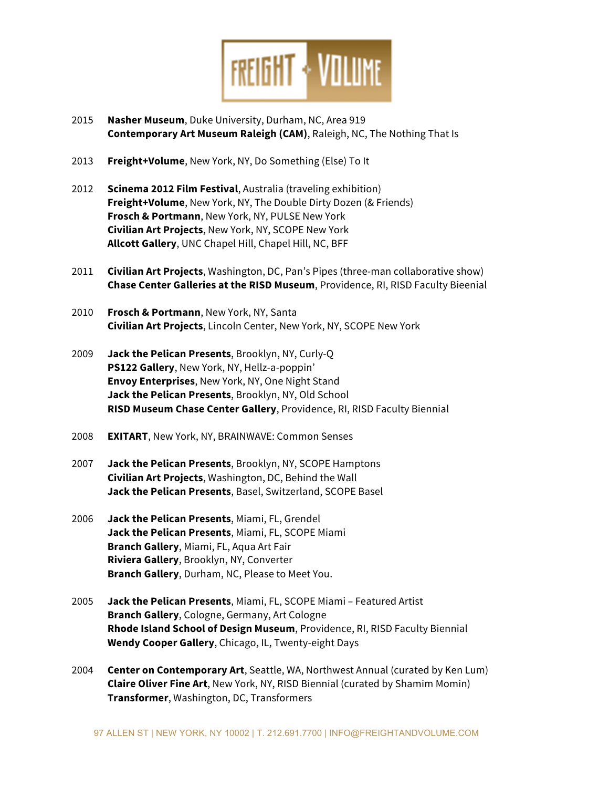

- 2015 **Nasher Museum**, Duke University, Durham, NC, Area 919 **Contemporary Art Museum Raleigh (CAM)**, Raleigh, NC, The Nothing That Is
- 2013 **Freight+Volume**, New York, NY, Do Something (Else) To It
- 2012 **Scinema 2012 Film Festival**, Australia (traveling exhibition) **Freight+Volume**, New York, NY, The Double Dirty Dozen (& Friends) **Frosch & Portmann**, New York, NY, PULSE New York **Civilian Art Projects**, New York, NY, SCOPE New York **Allcott Gallery**, UNC Chapel Hill, Chapel Hill, NC, BFF
- 2011 **Civilian Art Projects**, Washington, DC, Pan's Pipes (three-man collaborative show) **Chase Center Galleries at the RISD Museum**, Providence, RI, RISD Faculty Bieenial
- 2010 **Frosch & Portmann**, New York, NY, Santa **Civilian Art Projects**, Lincoln Center, New York, NY, SCOPE New York
- 2009 **Jack the Pelican Presents**, Brooklyn, NY, Curly-Q **PS122 Gallery**, New York, NY, Hellz-a-poppin' **Envoy Enterprises**, New York, NY, One Night Stand **Jack the Pelican Presents**, Brooklyn, NY, Old School **RISD Museum Chase Center Gallery**, Providence, RI, RISD Faculty Biennial
- 2008 **EXITART**, New York, NY, BRAINWAVE: Common Senses
- 2007 **Jack the Pelican Presents**, Brooklyn, NY, SCOPE Hamptons **Civilian Art Projects**, Washington, DC, Behind the Wall **Jack the Pelican Presents**, Basel, Switzerland, SCOPE Basel
- 2006 **Jack the Pelican Presents**, Miami, FL, Grendel **Jack the Pelican Presents**, Miami, FL, SCOPE Miami **Branch Gallery**, Miami, FL, Aqua Art Fair **Riviera Gallery**, Brooklyn, NY, Converter **Branch Gallery**, Durham, NC, Please to Meet You.
- 2005 **Jack the Pelican Presents**, Miami, FL, SCOPE Miami Featured Artist **Branch Gallery**, Cologne, Germany, Art Cologne **Rhode Island School of Design Museum**, Providence, RI, RISD Faculty Biennial **Wendy Cooper Gallery**, Chicago, IL, Twenty-eight Days
- 2004 **Center on Contemporary Art**, Seattle, WA, Northwest Annual (curated by Ken Lum) **Claire Oliver Fine Art**, New York, NY, RISD Biennial (curated by Shamim Momin) **Transformer**, Washington, DC, Transformers